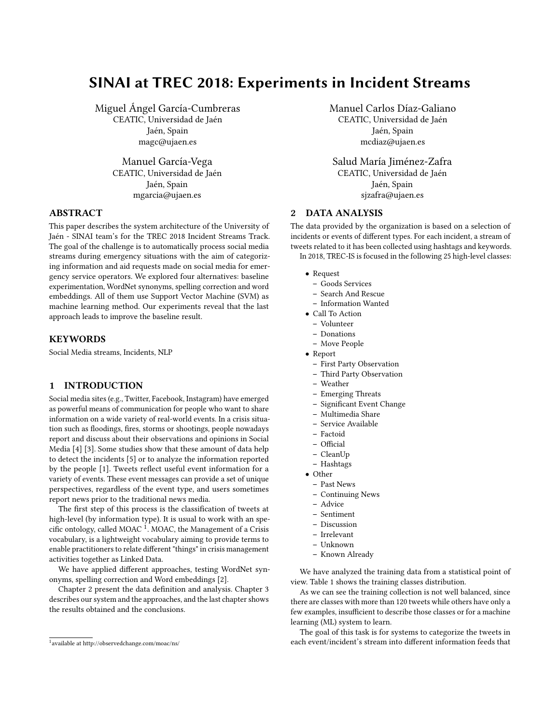# SINAI at TREC 2018: Experiments in Incident Streams

Miguel Ángel García-Cumbreras

CEATIC, Universidad de Jaén Jaén, Spain magc@ujaen.es

Manuel García-Vega CEATIC, Universidad de Jaén Jaén, Spain mgarcia@ujaen.es

## ABSTRACT

This paper describes the system architecture of the University of Jaén - SINAI team's for the TREC 2018 Incident Streams Track. The goal of the challenge is to automatically process social media streams during emergency situations with the aim of categorizing information and aid requests made on social media for emergency service operators. We explored four alternatives: baseline experimentation, WordNet synonyms, spelling correction and word embeddings. All of them use Support Vector Machine (SVM) as machine learning method. Our experiments reveal that the last approach leads to improve the baseline result.

#### **KEYWORDS**

Social Media streams, Incidents, NLP

# 1 INTRODUCTION

Social media sites (e.g., Twitter, Facebook, Instagram) have emerged as powerful means of communication for people who want to share information on a wide variety of real-world events. In a crisis situation such as floodings, fires, storms or shootings, people nowadays report and discuss about their observations and opinions in Social Media [\[4\]](#page-2-0) [\[3\]](#page-2-1). Some studies show that these amount of data help to detect the incidents [\[5\]](#page-2-2) or to analyze the information reported by the people [\[1\]](#page-2-3). Tweets reflect useful event information for a variety of events. These event messages can provide a set of unique perspectives, regardless of the event type, and users sometimes report news prior to the traditional news media.

The first step of this process is the classification of tweets at high-level (by information type). It is usual to work with an spe-cific ontology, called MOAC<sup>[1](#page-0-0)</sup>. MOAC, the Management of a Crisis vocabulary, is a lightweight vocabulary aiming to provide terms to enable practitioners to relate different "things" in crisis management activities together as Linked Data.

We have applied different approaches, testing WordNet synonyms, spelling correction and Word embeddings [\[2\]](#page-2-4).

Chapter 2 present the data definition and analysis. Chapter 3 describes our system and the approaches, and the last chapter shows the results obtained and the conclusions.

Manuel Carlos Díaz-Galiano

CEATIC, Universidad de Jaén Jaén, Spain mcdiaz@ujaen.es

Salud María Jiménez-Zafra CEATIC, Universidad de Jaén Jaén, Spain sjzafra@ujaen.es

#### 2 DATA ANALYSIS

The data provided by the organization is based on a selection of incidents or events of different types. For each incident, a stream of tweets related to it has been collected using hashtags and keywords. In 2018, TREC-IS is focused in the following 25 high-level classes:

- Request
	- Goods Services
	- Search And Rescue
	- Information Wanted
- Call To Action
	- Volunteer
	- Donations
	- Move People
- Report
	- First Party Observation
	- Third Party Observation
- Weather
- Emerging Threats
- Significant Event Change
- Multimedia Share
- Service Available
- Factoid
- Official
- CleanUp
- Hashtags
- Other
	- Past News
	- Continuing News
	- Advice
	- Sentiment
	- Discussion
	- Irrelevant
	- Unknown
	- Known Already

We have analyzed the training data from a statistical point of view. Table [1](#page-1-0) shows the training classes distribution.

As we can see the training collection is not well balanced, since there are classes with more than 120 tweets while others have only a few examples, insufficient to describe those classes or for a machine learning (ML) system to learn.

The goal of this task is for systems to categorize the tweets in each event/incident's stream into different information feeds that

<span id="page-0-0"></span><sup>1</sup> available at http://observedchange.com/moac/ns/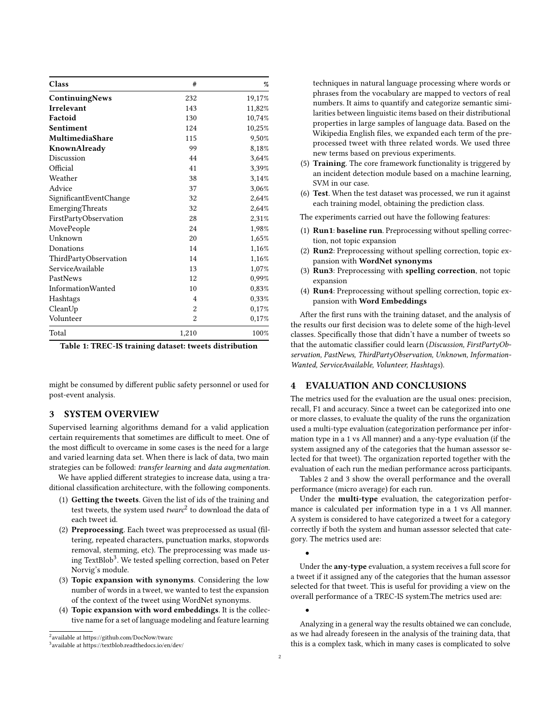<span id="page-1-0"></span>

| Class                  | #              | %      |
|------------------------|----------------|--------|
| ContinuingNews         | 232            | 19,17% |
| <b>Irrelevant</b>      | 143            | 11,82% |
| Factoid                | 130            | 10,74% |
| Sentiment              | 124            | 10,25% |
| MultimediaShare        | 115            | 9,50%  |
| KnownAlready           | 99             | 8,18%  |
| Discussion             | 44             | 3,64%  |
| Official               | 41             | 3,39%  |
| Weather                | 38             | 3,14%  |
| Advice                 | 37             | 3,06%  |
| SignificantEventChange | 32             | 2,64%  |
| EmergingThreats        | 32             | 2,64%  |
| FirstPartyObservation  | 28             | 2,31%  |
| MovePeople             | 24             | 1,98%  |
| Unknown                | 20             | 1,65%  |
| Donations              | 14             | 1,16%  |
| ThirdPartyObservation  | 14             | 1,16%  |
| ServiceAvailable       | 13             | 1,07%  |
| PastNews               | 12             | 0,99%  |
| InformationWanted      | 10             | 0,83%  |
| Hashtags               | $\overline{4}$ | 0,33%  |
| CleanUp                | $\overline{2}$ | 0,17%  |
| Volunteer              | $\overline{c}$ | 0,17%  |
| Total                  | 1,210          | 100%   |

Table 1: TREC-IS training dataset: tweets distribution

might be consumed by different public safety personnel or used for post-event analysis.

## 3 SYSTEM OVERVIEW

Supervised learning algorithms demand for a valid application certain requirements that sometimes are difficult to meet. One of the most difficult to overcame in some cases is the need for a large and varied learning data set. When there is lack of data, two main strategies can be followed: transfer learning and data augmentation.

We have applied different strategies to increase data, using a traditional classification architecture, with the following components.

- (1) Getting the tweets. Given the list of ids of the training and test tweets, the system used  $twarc^2$  $twarc^2$  to download the data of each tweet id.
- (2) Preprocessing. Each tweet was preprocessed as usual (filtering, repeated characters, punctuation marks, stopwords removal, stemming, etc). The preprocessing was made us-ing TextBlob<sup>[3](#page-1-2)</sup>. We tested spelling correction, based on Peter Norvig's module.
- (3) Topic expansion with synonyms. Considering the low number of words in a tweet, we wanted to test the expansion of the context of the tweet using WordNet synonyms.
- (4) Topic expansion with word embeddings. It is the collective name for a set of language modeling and feature learning

<span id="page-1-1"></span>2 available at https://github.com/DocNow/twarc

techniques in natural language processing where words or phrases from the vocabulary are mapped to vectors of real numbers. It aims to quantify and categorize semantic similarities between linguistic items based on their distributional properties in large samples of language data. Based on the Wikipedia English files, we expanded each term of the preprocessed tweet with three related words. We used three new terms based on previous experiments.

- (5) Training. The core framework functionality is triggered by an incident detection module based on a machine learning, SVM in our case.
- (6) Test. When the test dataset was processed, we run it against each training model, obtaining the prediction class.

The experiments carried out have the following features:

- (1) Run1: baseline run. Preprocessing without spelling correction, not topic expansion
- (2) Run2: Preprocessing without spelling correction, topic expansion with WordNet synonyms
- (3) Run3: Preprocessing with spelling correction, not topic expansion
- (4) Run4: Preprocessing without spelling correction, topic expansion with Word Embeddings

After the first runs with the training dataset, and the analysis of the results our first decision was to delete some of the high-level classes. Specifically those that didn't have a number of tweets so that the automatic classifier could learn (Discussion, FirstPartyObservation, PastNews, ThirdPartyObservation, Unknown, Information-Wanted, ServiceAvailable, Volunteer, Hashtags).

#### 4 EVALUATION AND CONCLUSIONS

The metrics used for the evaluation are the usual ones: precision, recall, F1 and accuracy. Since a tweet can be categorized into one or more classes, to evaluate the quality of the runs the organization used a multi-type evaluation (categorization performance per information type in a 1 vs All manner) and a any-type evaluation (if the system assigned any of the categories that the human assessor selected for that tweet). The organization reported together with the evaluation of each run the median performance across participants.

Tables [2](#page-2-5) and [3](#page-2-6) show the overall performance and the overall performance (micro average) for each run.

Under the multi-type evaluation, the categorization performance is calculated per information type in a 1 vs All manner. A system is considered to have categorized a tweet for a category correctly if both the system and human assessor selected that category. The metrics used are:

Under the any-type evaluation, a system receives a full score for a tweet if it assigned any of the categories that the human assessor selected for that tweet. This is useful for providing a view on the overall performance of a TREC-IS system.The metrics used are:

Analyzing in a general way the results obtained we can conclude, as we had already foreseen in the analysis of the training data, that this is a complex task, which in many cases is complicated to solve

•

•

<span id="page-1-2"></span><sup>3</sup> available at https://textblob.readthedocs.io/en/dev/